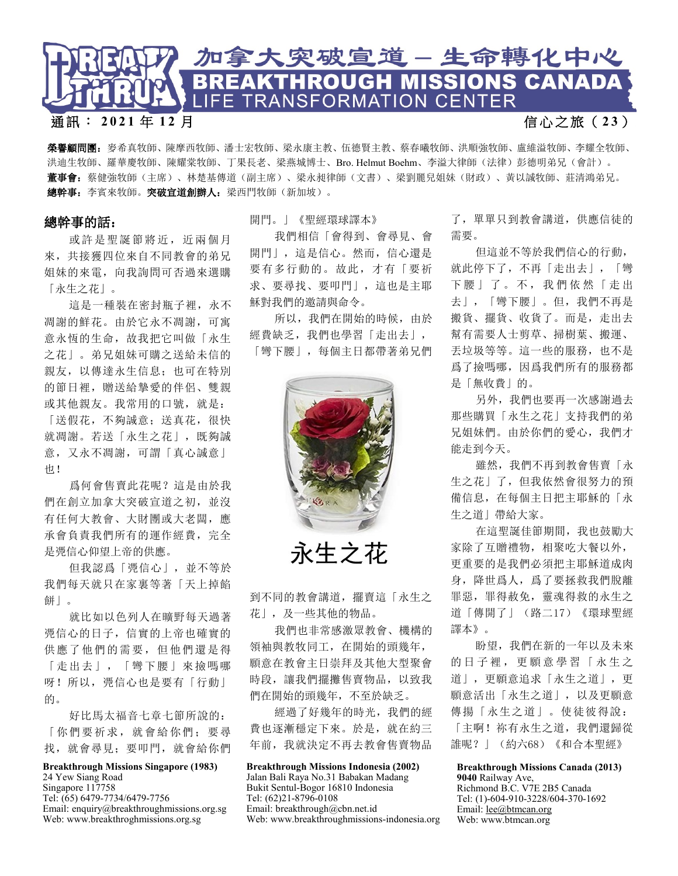

## 通訊: **2021** 年 **1 2** 月 信 心 之 旅 ( **2 3** )

榮譽顧問團:麥希真牧師、陳摩西牧師、潘士宏牧師、梁永康主教、伍德賢主教、蔡春曦牧師、洪順強牧師、盧維溢牧師、李耀全牧師、 洪迪生牧師、羅華慶牧師、陳耀棠牧師、丁果長老、梁燕城博士、Bro. Helmut Boehm、李溢大律師(法律)彭德明弟兄(會計)。 董事會:蔡健強牧師(主席)、林楚基傳道(副主席)、梁永昶律師(文書)、梁劉麗兒姐妹(財政)、黃以誠牧師、莊清鴻弟兄。 總幹事: 李賓來牧師。突破宣道創辦人: 梁西門牧師(新加坡)。

## 總幹事的話:

或許是聖誕節將近,近兩個月 來,共接獲四位來自不同教會的弟兄 姐妹的來電,向我詢問可否過來選購 「永生之花」。

這是一種裝在密封瓶子裡,永不 凋謝的鮮花。由於它永不凋謝,可寓 意永恆的生命,故我把它叫做「永生 之花」。弟兄姐妹可購之送給未信的 親友,以傳達永生信息;也可在特別 的節日裡,贈送給摯愛的伴侶、雙親 或其他親友。我常用的口號,就是: 「送假花,不夠誠意;送真花,很快 就凋謝。若送「永生之花」,既夠誠 意,又永不凋謝,可謂「真心誠意」 也!

爲何會售賣此花呢?這是由於我 們在創立加拿大突破宣道之初,並沒 有任何大教會、大財團或大老闆,應 承會負責我們所有的運作經費,完全 是凴信心仰望上帝的供應。

但我認爲「凴信心」,並不等於 我們每天就只在家裏等著「天上掉餡 餅」。

就比如以色列人在曠野每天過著 凴信心的日子,信實的上帝也確實的 供應了他們的需要,但他們還是得 「走出去」,「彎下腰」來撿嗎哪 呀!所以, 凴信心也是要有「行動」 的。

好比馬太福音七章七節所說的: 「你們要祈求,就會給你們;要尋 找,就會尋見;要叩門,就會給你們

## **Breakthrough Missions Singapore (1983)**  24 Yew Siang Road

Singapore 117758 Tel: (65) 6479-7734/6479-7756 Email: enquiry@breakthroughmissions.org.sg Web: www.breakthroghmissions.org.sg

## 開門。」《聖經環球譯本》

我們相信「會得到、會尋見、會 開門」,這是信心。然而,信心還是 要有多行動的。故此,才有「要祈 求、要尋找、要叩門」,這也是主耶 穌對我們的邀請與命令。

所以,我們在開始的時候,由於 經費缺乏,我們也學習「走出去」, 「彎下腰」,每個主日都帶著弟兄們



永生之花

到不同的教會講道,擺賣這「永生之 花」,及一些其他的物品。

我們也非常感激眾教會、機構的 領袖與教牧同工,在開始的頭幾年, 願意在教會主日崇拜及其他大型聚會 時段,讓我們擺攤售賣物品,以致我 們在開始的頭幾年,不至於缺乏。

經過了好幾年的時光,我們的經 費也逐漸穩定下來。於是,就在約三 年前,我就決定不再去教會售賣物品

**Breakthrough Missions Indonesia (2002)** 

Jalan Bali Raya No.31 Babakan Madang r Bukit Sentul-Bogor 16810 Indonesia Tel: (62)21-8796-0108 Email: breakthrough@cbn.net.id Web: www.breakthroughmissions-indonesia.org

了,單單只到教會講道,供應信徒的 需要。

但這並不等於我們信心的行動, 就此停下了,不再「走出去」,「彎 下腰」了。不, 我們依然「走出 去」,「彎下腰」。但,我們不再是 搬貨、擺貨、收貨了。而是,走出去 幫有需要人士剪草、掃樹葉、搬運、 丟垃圾等等。這一些的服務,也不是 爲了撿嗎哪,因爲我們所有的服務都 是「無收費」的。

另外,我們也要再一次感謝過去 那些購買「永生之花」支持我們的弟 兄姐妹們。由於你們的愛心,我們才 能走到今天。

雖然,我們不再到教會售賣「永 生之花」了,但我依然會很努力的預 備信息,在每個主日把主耶穌的「永 生之道」帶給大家。

在這聖誕佳節期間,我也鼓勵大 家除了互贈禮物,相聚吃大餐以外, 更重要的是我們必須把主耶穌道成肉 身,降世爲人,爲了要拯救我們脫離 罪惡,罪得赦免,靈魂得救的永生之 道「傳開了」(路二17)《環球聖經 譯本》。

盼望,我們在新的一年以及未來 的日子裡,更願意學習「永生之 道」,更願意追求「永生之道」,更 願意活出「永生之道」,以及更願意 傳揚「永生之道」。使徒彼得說: 「主啊!祢有永生之道,我們還歸從 誰呢?」(約六68)《和合本聖經》

**Breakthrough Missions Canada (2013)**  9040 Railway Ave, Richmond B.C. V7E 2B5 Canada

Tel: (1)-604-910-3228/604-370-1692 Email: [lee@btmcan.org](mailto:lee@btmcan.org) Web: www.btmcan.org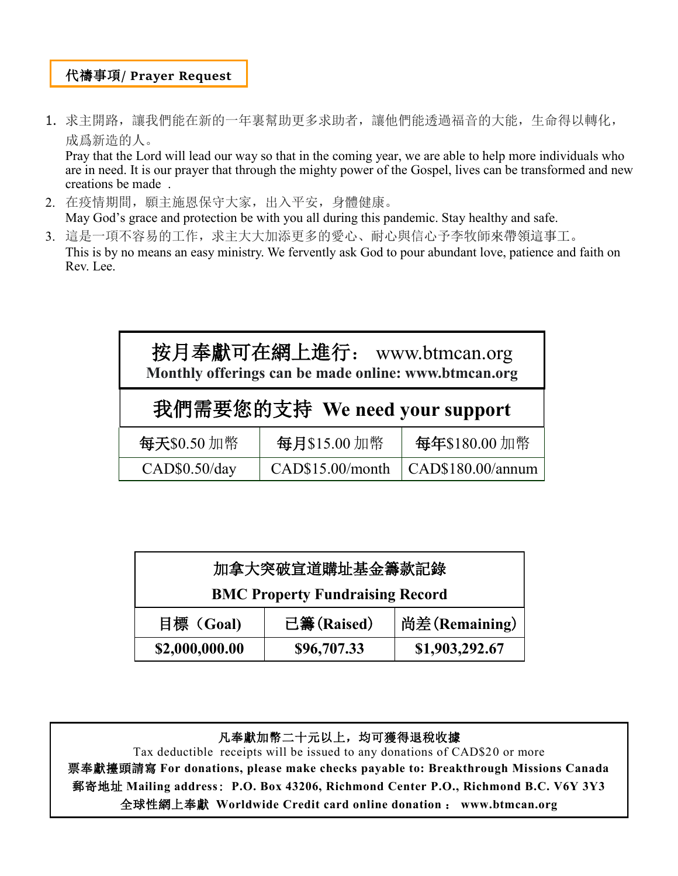## 代禱事項**/ Prayer Request**

1. 求主開路,讓我們能在新的一年裏幫助更多求助者,讓他們能透過福音的大能,生命得以轉化, 成爲新造的人。

Pray that the Lord will lead our way so that in the coming year, we are able to help more individuals who are in need. It is our prayer that through the mighty power of the Gospel, lives can be transformed and new creations be made .

- 2. 在疫情期間, 願主施恩保守大家, 出入平安, 身體健康。 May God's grace and protection be with you all during this pandemic. Stay healthy and safe.
- 3. 這是一項不容易的工作,求主大大加添更多的愛心、耐心與信心予李牧師來帶領這事工。 This is by no means an easy ministry. We fervently ask God to pour abundant love, patience and faith on Rev. Lee.

| 按月奉獻可在網上進行: www.btmcan.org<br>Monthly offerings can be made online: www.btmcan.org |                  |                   |  |
|------------------------------------------------------------------------------------|------------------|-------------------|--|
| 我們需要您的支持 We need your support                                                      |                  |                   |  |
| 每天\$0.50加幣                                                                         | 每月\$15.00加幣      | 每年\$180.00加幣      |  |
| CAD\$0.50/day                                                                      | CAD\$15.00/month | CAD\$180.00/annum |  |

| 加拿大突破宣道購址基金籌款記錄                        |             |                |  |
|----------------------------------------|-------------|----------------|--|
| <b>BMC Property Fundraising Record</b> |             |                |  |
| 目標 (Goal)                              | 已籌(Raised)  | 尚差(Remaining)  |  |
| \$2,000,000.00                         | \$96,707.33 | \$1,903,292.67 |  |

凡奉獻加幣二十元以上,均可獲得退稅收據 Tax deductible receipts will be issued to any donations of CAD\$20 or more 票奉獻擡頭請寫 **For donations, please make checks payable to: Breakthrough Missions Canada**  郵寄地址 **Mailing address**: **P.O. Box 43206, Richmond Center P.O., Richmond B.C. V6Y 3Y3** 全球性網上奉獻 **Worldwide Credit card online donation** : **www.btmcan.org**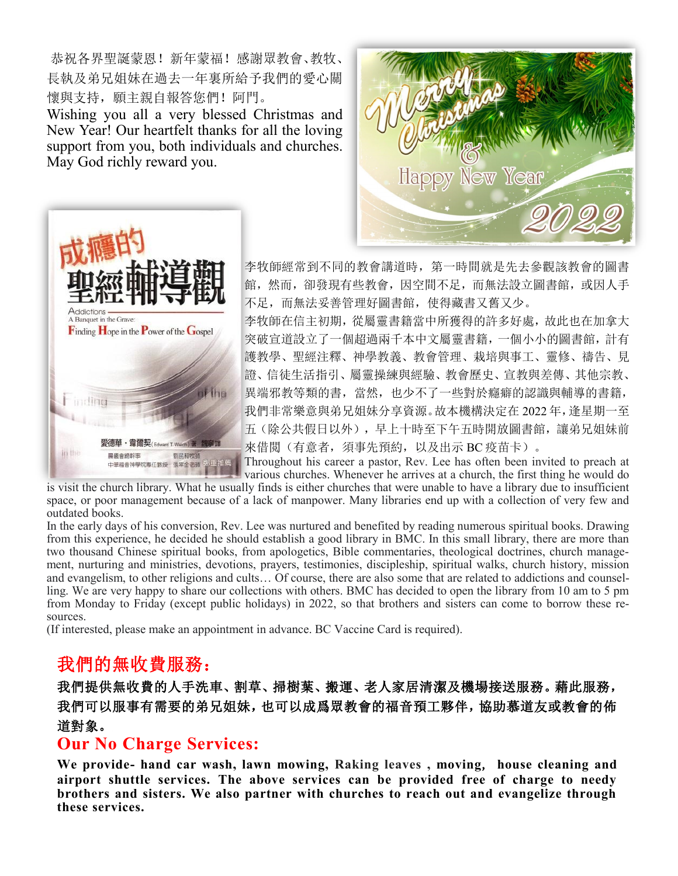恭祝各界聖誕蒙恩!新年蒙福!感謝眾教會、教牧、 長執及弟兄姐妹在過去一年裏所給予我們的愛心關 懷與支持,願主親自報答您們!阿門。

Wishing you all a very blessed Christmas and New Year! Our heartfelt thanks for all the loving support from you, both individuals and churches. May God richly reward you.





李牧師經常到不同的教會講道時,第一時間就是先去參觀該教會的圖書 館,然而,卻發現有些教會,因空間不足,而無法設立圖書館,或因人手 不足,而無法妥善管理好圖書館,使得藏書又舊又少。

李牧師在信主初期,從屬靈書籍當中所獲得的許多好處,故此也在加拿大 突破宣道設立了一個超過兩千本中文屬靈書籍,一個小小的圖書館,計有 護教學、聖經注釋、神學教義、教會管理、栽培與事工、靈修、禱告、見 證、信徒生活指引、屬靈操練與經驗、教會歷史、宣教與差傳、其他宗教、 異端邪教等類的書,當然,也少不了一些對於癮癖的認識與輔導的書籍, 我們非常樂意與弟兄姐妹分享資源。故本機構決定在 2022 年,逢星期一至 五(除公共假日以外),早上十時至下午五時開放圖書館,讓弟兄姐妹前 來借閲(有意者, 須事先預約, 以及出示 BC 疫苗卡)。

Throughout his career a pastor, Rev. Lee has often been invited to preach at various churches. Whenever he arrives at a church, the first thing he would do

is visit the church library. What he usually finds is either churches that were unable to have a library due to insufficient space, or poor management because of a lack of manpower. Many libraries end up with a collection of very few and outdated books.

In the early days of his conversion, Rev. Lee was nurtured and benefited by reading numerous spiritual books. Drawing from this experience, he decided he should establish a good library in BMC. In this small library, there are more than two thousand Chinese spiritual books, from apologetics, Bible commentaries, theological doctrines, church management, nurturing and ministries, devotions, prayers, testimonies, discipleship, spiritual walks, church history, mission and evangelism, to other religions and cults… Of course, there are also some that are related to addictions and counselling. We are very happy to share our collections with others. BMC has decided to open the library from 10 am to 5 pm from Monday to Friday (except public holidays) in 2022, so that brothers and sisters can come to borrow these resources.

(If interested, please make an appointment in advance. BC Vaccine Card is required).

# 我們的無收費服務:

我們提供無收費的人手洗車、割草、掃樹葉、搬運、老人家居清潔及機場接送服務。藉此服務, 我們可以服事有需要的弟兄姐妹,也可以成爲眾教會的福音預工夥伴,協助慕道友或教會的佈 道對象。

# **Our No Charge Services:**

**We provide- hand car wash, lawn mowing, Raking leaves , moving**, **house cleaning and airport shuttle services. The above services can be provided free of charge to needy brothers and sisters. We also partner with churches to reach out and evangelize through these services.**